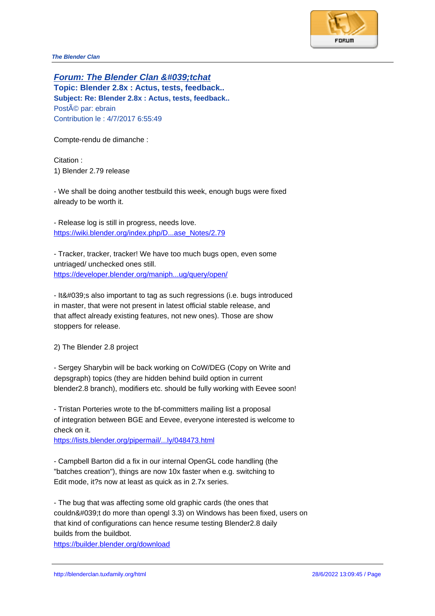**Forum: The Blender Clan &#039:tchat Topic: Blender 2.8x : Actus, tests, feedback.. Subject: Re: Blender 2.8x : Actus, tests, feedback..** Posté par: ebrain Contribution le : 4/7/2017 6:55:49

Compte-rendu de dimanche :

Citation : 1) Blender 2.79 release

- We shall be doing another testbuild this week, enough bugs were fixed already to be worth it.

- Release log is still in progress, needs love. https://wiki.blender.org/index.php/D...ase\_Notes/2.79

- Tracker, tracker, tracker! We have too much bugs open, even some untriaged/ unchecked ones still. [https://developer.blender.org/maniph...ug/query/open](https://wiki.blender.org/index.php/D...ase_Notes/2.79)/

- It' salso important to tag as such regressions (i.e. bugs introduced in master, that were not present in latest official stable release, and [that affect already existing features, not new ones\). Th](https://developer.blender.org/maniph...ug/query/open/)ose are show stoppers for release.

2) The Blender 2.8 project

- Sergey Sharybin will be back working on CoW/DEG (Copy on Write and depsgraph) topics (they are hidden behind build option in current blender2.8 branch), modifiers etc. should be fully working with Eevee soon!

- Tristan Porteries wrote to the bf-committers mailing list a proposal of integration between BGE and Eevee, everyone interested is welcome to check on it.

https://lists.blender.org/pipermail/...ly/048473.html

- Campbell Barton did a fix in our internal OpenGL code handling (the "batches creation"), things are now 10x faster when e.g. switching to [Edit mode, it?s now at least as quick as in 2.7x se](https://lists.blender.org/pipermail/...ly/048473.html)ries.

- The bug that was affecting some old graphic cards (the ones that couldn't do more than opengl 3.3) on Windows has been fixed, users on that kind of configurations can hence resume testing Blender2.8 daily builds from the buildbot.

https://builder.blender.org/download